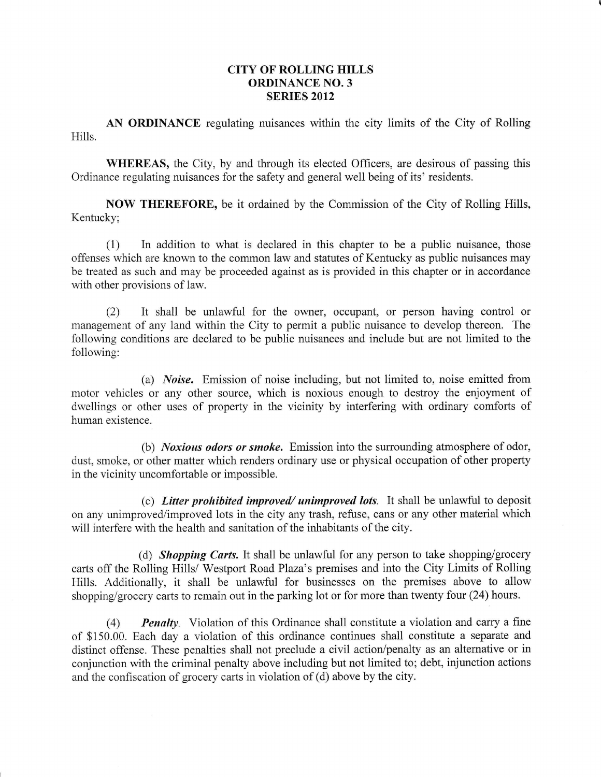## CITY OF ROLLING HILLS ORDINANCE NO. 3 **SERIES 2012**

AN ORDINANCE regulating nuisances within the city limits of the City of Rolling Hills.

WHEREAS, the City, by and through its elected Officers, are desirous of passing this Ordinance regulating nuisances for the safety and general well being of its' residents

NOW THEREFORE, be it ordained by the Commission of the City of Rolling Hills, Kentucky;

(1) In addition to what is declared in this chapter to be a public nuisance, those offenses which are known to the common law and statutes of Kentucky as public nuisances may be treated as such and may be proceeded against as is provided in this chapter or in accordance with other provisions of law.

(2) It shall be unlawful for the owner, occupant, or person having control or management of any land within the City to permit a public nuisance to develop thereon. The following conditions are declared to be public nuisances and include but are not limited to the following:

(a) *Noise*. Emission of noise including, but not limited to, noise emitted from motor vehicles or any other source, which is noxious enough to destroy the enjoyment of dwellings or other uses of property in the vicinity by interfering with ordinary comforts of human existence.

(b) *Noxious odors or smoke*. Emission into the surrounding atmosphere of odor, dust, smoke, or other matter which renders ordinary use or physical occupation of other property in the vicinity uncomfortable or impossible.

(c) Litter prohibited improved/ unimproved lots. It shall be unlawful to deposit on any unimproved/improved lots in the city any trash, refuse, cans or any other material which will interfere with the health and sanitation of the inhabitants of the city.

(d) **Shopping Carts.** It shall be unlawful for any person to take shopping/grocery carts off the Rolling Hills/ Westport Road Plaza's premises and into the City Limits of Rolling Hills. Additionally, it shall be unlawful for businesses on the premises above to allow shopping/grocery carts to remain out in the parking lot or for more than twenty four (24) hours.

(4) Penalty. Violation of this Ordinance shall constitute a violation and carry a fine of \$150.00. Each day a violation of this ordinance continues shall constitute a separate and distinct offense. These penalties shall not preclude a civil action/penalty as an altemative or in conjunction with the criminal penalty above including but not limited to; debt, injunction actions and the confiscation of grocery carts in violation of (d) above by the city.